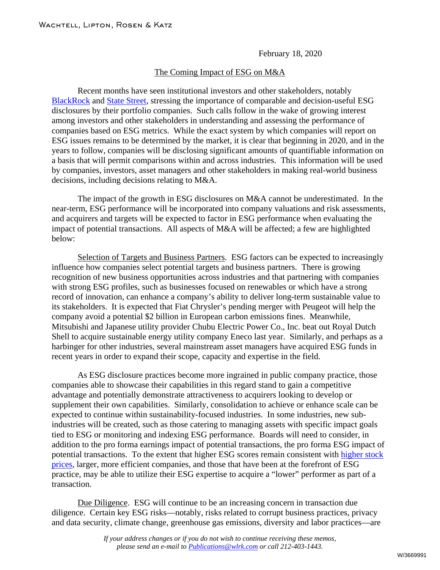February 18, 2020

## The Coming Impact of ESG on M&A

Recent months have seen institutional investors and other stakeholders, notably [BlackRock](https://www.wlrk.com/docs/Larry_Fink) and [State Street,](https://www.wlrk.com/docs/SSgA_CEO_Letter_on_our_2020_Proxy_Voting_Agenda.pdf) stressing the importance of comparable and decision-useful ESG disclosures by their portfolio companies. Such calls follow in the wake of growing interest among investors and other stakeholders in understanding and assessing the performance of companies based on ESG metrics. While the exact system by which companies will report on ESG issues remains to be determined by the market, it is clear that beginning in 2020, and in the years to follow, companies will be disclosing significant amounts of quantifiable information on a basis that will permit comparisons within and across industries. This information will be used by companies, investors, asset managers and other stakeholders in making real-world business decisions, including decisions relating to M&A.

The impact of the growth in ESG disclosures on M&A cannot be underestimated. In the near-term, ESG performance will be incorporated into company valuations and risk assessments, and acquirers and targets will be expected to factor in ESG performance when evaluating the impact of potential transactions. All aspects of M&A will be affected; a few are highlighted below:

Selection of Targets and Business Partners. ESG factors can be expected to increasingly influence how companies select potential targets and business partners. There is growing recognition of new business opportunities across industries and that partnering with companies with strong ESG profiles, such as businesses focused on renewables or which have a strong record of innovation, can enhance a company's ability to deliver long-term sustainable value to its stakeholders. It is expected that Fiat Chrysler's pending merger with Peugeot will help the company avoid a potential \$2 billion in European carbon emissions fines. Meanwhile, Mitsubishi and Japanese utility provider Chubu Electric Power Co., Inc. beat out Royal Dutch Shell to acquire sustainable energy utility company Eneco last year. Similarly, and perhaps as a harbinger for other industries, several mainstream asset managers have acquired ESG funds in recent years in order to expand their scope, capacity and expertise in the field.

As ESG disclosure practices become more ingrained in public company practice, those companies able to showcase their capabilities in this regard stand to gain a competitive advantage and potentially demonstrate attractiveness to acquirers looking to develop or supplement their own capabilities. Similarly, consolidation to achieve or enhance scale can be expected to continue within sustainability-focused industries. In some industries, new subindustries will be created, such as those catering to managing assets with specific impact goals tied to ESG or monitoring and indexing ESG performance. Boards will need to consider, in addition to the pro forma earnings impact of potential transactions, the pro forma ESG impact of potential transactions. To the extent that higher ESG scores remain consistent with [higher stock](https://www.wlrk.com/docs/The_100_Most_Sustainable_Companies_in_America.pdf)  [prices,](https://www.wlrk.com/docs/The_100_Most_Sustainable_Companies_in_America.pdf) larger, more efficient companies, and those that have been at the forefront of ESG practice, may be able to utilize their ESG expertise to acquire a "lower" performer as part of a transaction.

Due Diligence. ESG will continue to be an increasing concern in transaction due diligence. Certain key ESG risks—notably, risks related to corrupt business practices, privacy and data security, climate change, greenhouse gas emissions, diversity and labor practices—are

> *If your address changes or if you do not wish to continue receiving these memos, please send an e-mail to [Publications@wlrk.com](mailto:Publications@wlrk.com) or call 212-403-1443.*